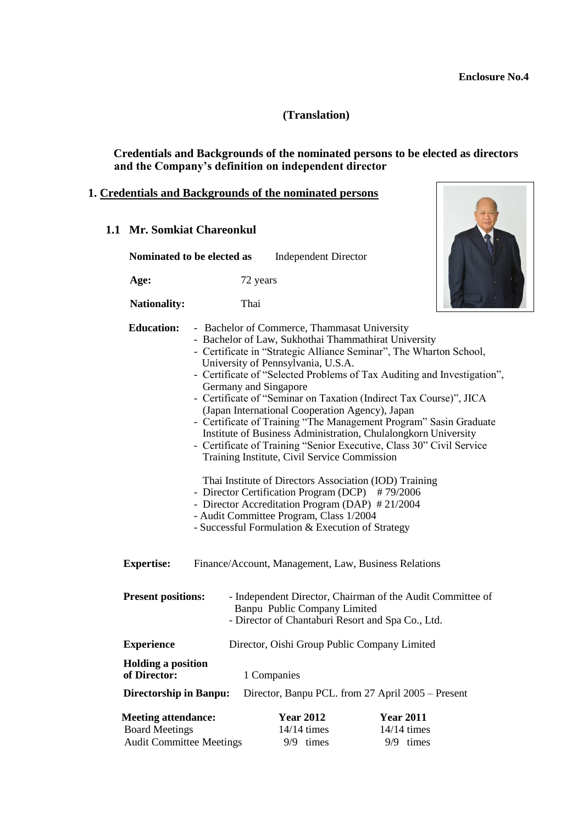8

## **(Translation)**

### **Credentials and Backgrounds of the nominated persons to be elected as directors and the Company's definition on independent director**

#### **1. Credentials and Backgrounds of the nominated persons**

| 1.1 Mr. Somkiat Chareonkul                                                             |                            |                                                                                                                                                                                                                                                                                                                                                                                                                                                                                                                                                                                                                                                                                                                                                                                                                                                                                                                                                                             |                                                |  |
|----------------------------------------------------------------------------------------|----------------------------|-----------------------------------------------------------------------------------------------------------------------------------------------------------------------------------------------------------------------------------------------------------------------------------------------------------------------------------------------------------------------------------------------------------------------------------------------------------------------------------------------------------------------------------------------------------------------------------------------------------------------------------------------------------------------------------------------------------------------------------------------------------------------------------------------------------------------------------------------------------------------------------------------------------------------------------------------------------------------------|------------------------------------------------|--|
|                                                                                        | Nominated to be elected as | <b>Independent Director</b>                                                                                                                                                                                                                                                                                                                                                                                                                                                                                                                                                                                                                                                                                                                                                                                                                                                                                                                                                 |                                                |  |
| Age:                                                                                   |                            | 72 years                                                                                                                                                                                                                                                                                                                                                                                                                                                                                                                                                                                                                                                                                                                                                                                                                                                                                                                                                                    |                                                |  |
| <b>Nationality:</b>                                                                    | Thai                       |                                                                                                                                                                                                                                                                                                                                                                                                                                                                                                                                                                                                                                                                                                                                                                                                                                                                                                                                                                             |                                                |  |
| <b>Education:</b>                                                                      |                            | - Bachelor of Commerce, Thammasat University<br>- Bachelor of Law, Sukhothai Thammathirat University<br>- Certificate in "Strategic Alliance Seminar", The Wharton School,<br>University of Pennsylvania, U.S.A.<br>- Certificate of "Selected Problems of Tax Auditing and Investigation",<br>Germany and Singapore<br>- Certificate of "Seminar on Taxation (Indirect Tax Course)", JICA<br>(Japan International Cooperation Agency), Japan<br>- Certificate of Training "The Management Program" Sasin Graduate<br>Institute of Business Administration, Chulalongkorn University<br>- Certificate of Training "Senior Executive, Class 30" Civil Service<br>Training Institute, Civil Service Commission<br>Thai Institute of Directors Association (IOD) Training<br>- Director Certification Program (DCP) #79/2006<br>- Director Accreditation Program (DAP) #21/2004<br>- Audit Committee Program, Class 1/2004<br>- Successful Formulation & Execution of Strategy |                                                |  |
| <b>Expertise:</b>                                                                      |                            | Finance/Account, Management, Law, Business Relations                                                                                                                                                                                                                                                                                                                                                                                                                                                                                                                                                                                                                                                                                                                                                                                                                                                                                                                        |                                                |  |
| <b>Present positions:</b>                                                              |                            | - Independent Director, Chairman of the Audit Committee of<br>Banpu Public Company Limited<br>- Director of Chantaburi Resort and Spa Co., Ltd.                                                                                                                                                                                                                                                                                                                                                                                                                                                                                                                                                                                                                                                                                                                                                                                                                             |                                                |  |
| <b>Experience</b>                                                                      |                            | Director, Oishi Group Public Company Limited                                                                                                                                                                                                                                                                                                                                                                                                                                                                                                                                                                                                                                                                                                                                                                                                                                                                                                                                |                                                |  |
| <b>Holding a position</b><br>of Director:                                              |                            | 1 Companies                                                                                                                                                                                                                                                                                                                                                                                                                                                                                                                                                                                                                                                                                                                                                                                                                                                                                                                                                                 |                                                |  |
| <b>Directorship in Banpu:</b>                                                          |                            | Director, Banpu PCL. from 27 April 2005 – Present                                                                                                                                                                                                                                                                                                                                                                                                                                                                                                                                                                                                                                                                                                                                                                                                                                                                                                                           |                                                |  |
| <b>Meeting attendance:</b><br><b>Board Meetings</b><br><b>Audit Committee Meetings</b> |                            | <b>Year 2012</b><br>14/14 times<br>9/9 times                                                                                                                                                                                                                                                                                                                                                                                                                                                                                                                                                                                                                                                                                                                                                                                                                                                                                                                                | <b>Year 2011</b><br>$14/14$ times<br>9/9 times |  |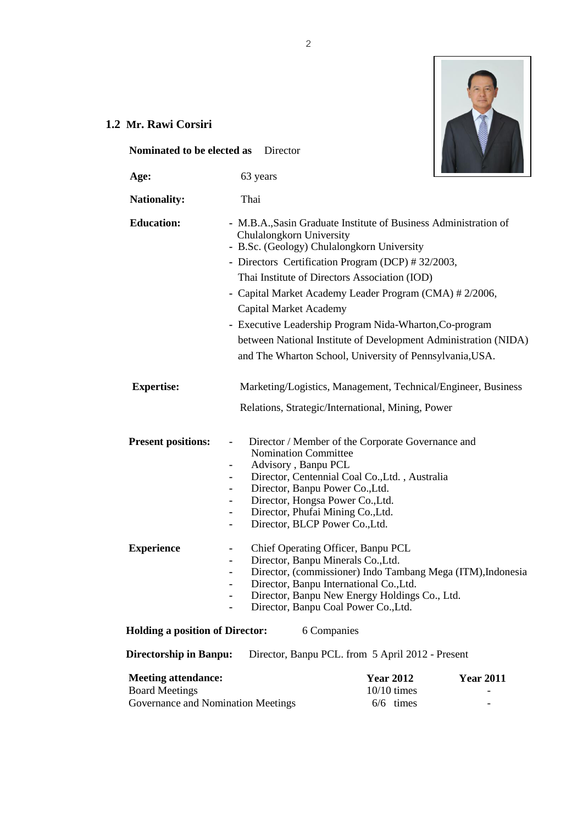

# **1.2 Mr. Rawi Corsiri**

| Nominated to be elected as                                                                |      | Director |                                                                                                                  |                                                                                                                                                                                                                                                                                                                                                                                                        |                                                                 |
|-------------------------------------------------------------------------------------------|------|----------|------------------------------------------------------------------------------------------------------------------|--------------------------------------------------------------------------------------------------------------------------------------------------------------------------------------------------------------------------------------------------------------------------------------------------------------------------------------------------------------------------------------------------------|-----------------------------------------------------------------|
| Age:                                                                                      |      | 63 years |                                                                                                                  |                                                                                                                                                                                                                                                                                                                                                                                                        |                                                                 |
| <b>Nationality:</b>                                                                       | Thai |          |                                                                                                                  |                                                                                                                                                                                                                                                                                                                                                                                                        |                                                                 |
| <b>Education:</b>                                                                         |      |          | Chulalongkorn University<br>Capital Market Academy                                                               | - M.B.A., Sasin Graduate Institute of Business Administration of<br>- B.Sc. (Geology) Chulalongkorn University<br>- Directors Certification Program (DCP) #32/2003,<br>Thai Institute of Directors Association (IOD)<br>- Capital Market Academy Leader Program (CMA) # 2/2006,<br>- Executive Leadership Program Nida-Wharton, Co-program<br>and The Wharton School, University of Pennsylvania, USA. | between National Institute of Development Administration (NIDA) |
| <b>Expertise:</b>                                                                         |      |          |                                                                                                                  | Relations, Strategic/International, Mining, Power                                                                                                                                                                                                                                                                                                                                                      | Marketing/Logistics, Management, Technical/Engineer, Business   |
| <b>Present positions:</b>                                                                 |      |          | Nomination Committee<br>Advisory, Banpu PCL<br>Director, Banpu Power Co., Ltd.<br>Director, BLCP Power Co., Ltd. | Director / Member of the Corporate Governance and<br>Director, Centennial Coal Co., Ltd., Australia<br>Director, Hongsa Power Co., Ltd.<br>Director, Phufai Mining Co., Ltd.                                                                                                                                                                                                                           |                                                                 |
| <b>Experience</b>                                                                         |      |          |                                                                                                                  | Chief Operating Officer, Banpu PCL<br>Director, Banpu Minerals Co., Ltd.<br>Director, Banpu International Co., Ltd.<br>Director, Banpu New Energy Holdings Co., Ltd.<br>Director, Banpu Coal Power Co., Ltd.                                                                                                                                                                                           | Director, (commissioner) Indo Tambang Mega (ITM), Indonesia     |
| <b>Holding a position of Director:</b>                                                    |      |          | 6 Companies                                                                                                      |                                                                                                                                                                                                                                                                                                                                                                                                        |                                                                 |
| <b>Directorship in Banpu:</b>                                                             |      |          |                                                                                                                  | Director, Banpu PCL. from 5 April 2012 - Present                                                                                                                                                                                                                                                                                                                                                       |                                                                 |
| <b>Meeting attendance:</b><br><b>Board Meetings</b><br>Governance and Nomination Meetings |      |          |                                                                                                                  | <b>Year 2012</b><br>$10/10$ times<br>$6/6$ times                                                                                                                                                                                                                                                                                                                                                       | <b>Year 2011</b>                                                |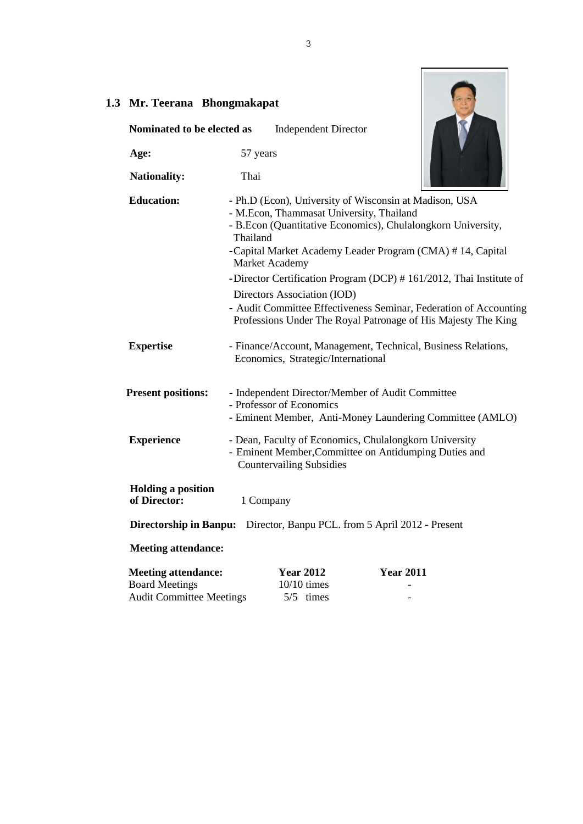| $\cdot \cdot$ | Mr. Teerana Bhongmakapat                                                               |                                                                                                       |                                                                                                                                                                                                                                                                                                                                                                                                 |
|---------------|----------------------------------------------------------------------------------------|-------------------------------------------------------------------------------------------------------|-------------------------------------------------------------------------------------------------------------------------------------------------------------------------------------------------------------------------------------------------------------------------------------------------------------------------------------------------------------------------------------------------|
|               | Nominated to be elected as                                                             | <b>Independent Director</b>                                                                           |                                                                                                                                                                                                                                                                                                                                                                                                 |
|               | Age:                                                                                   | 57 years                                                                                              |                                                                                                                                                                                                                                                                                                                                                                                                 |
|               | <b>Nationality:</b>                                                                    | Thai                                                                                                  |                                                                                                                                                                                                                                                                                                                                                                                                 |
|               | <b>Education:</b>                                                                      | - M.Econ, Thammasat University, Thailand<br>Thailand<br>Market Academy<br>Directors Association (IOD) | - Ph.D (Econ), University of Wisconsin at Madison, USA<br>- B.Econ (Quantitative Economics), Chulalongkorn University,<br>-Capital Market Academy Leader Program (CMA) #14, Capital<br>-Director Certification Program (DCP) #161/2012, Thai Institute of<br>- Audit Committee Effectiveness Seminar, Federation of Accounting<br>Professions Under The Royal Patronage of His Majesty The King |
|               | <b>Expertise</b>                                                                       | Economics, Strategic/International                                                                    | - Finance/Account, Management, Technical, Business Relations,                                                                                                                                                                                                                                                                                                                                   |
|               | <b>Present positions:</b>                                                              | - Independent Director/Member of Audit Committee<br>- Professor of Economics                          | - Eminent Member, Anti-Money Laundering Committee (AMLO)                                                                                                                                                                                                                                                                                                                                        |
|               | <b>Experience</b>                                                                      | <b>Countervailing Subsidies</b>                                                                       | - Dean, Faculty of Economics, Chulalongkorn University<br>- Eminent Member, Committee on Antidumping Duties and                                                                                                                                                                                                                                                                                 |
|               | <b>Holding a position</b><br>of Director:                                              | 1 Company                                                                                             |                                                                                                                                                                                                                                                                                                                                                                                                 |
|               |                                                                                        | Directorship in Banpu: Director, Banpu PCL. from 5 April 2012 - Present                               |                                                                                                                                                                                                                                                                                                                                                                                                 |
|               | <b>Meeting attendance:</b>                                                             |                                                                                                       |                                                                                                                                                                                                                                                                                                                                                                                                 |
|               | <b>Meeting attendance:</b><br><b>Board Meetings</b><br><b>Audit Committee Meetings</b> | <b>Year 2012</b><br>$10/10$ times<br>5/5 times                                                        | <b>Year 2011</b>                                                                                                                                                                                                                                                                                                                                                                                |

# **1.3**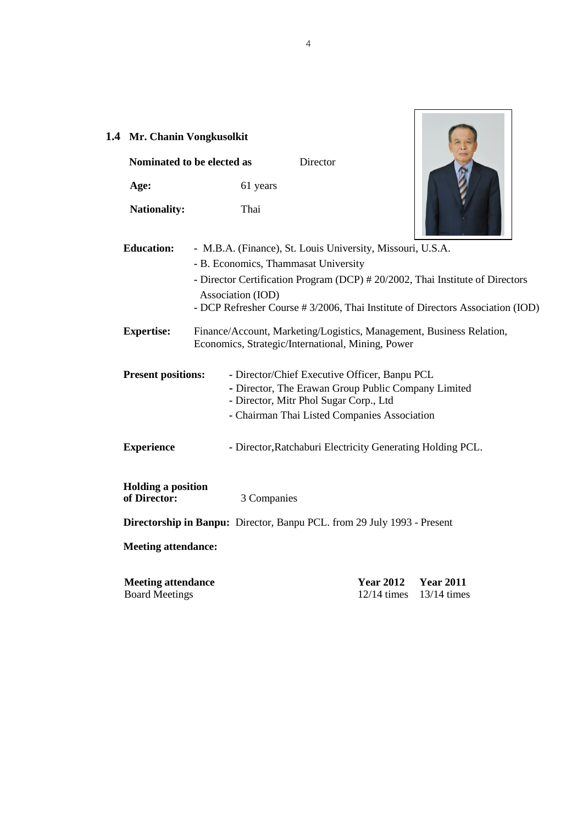| 1.4 Mr. Chanin Vongkusolkit                        | Nominated to be elected as | Director                                                                                                                                                                                       |                                                                                                                                                                 |
|----------------------------------------------------|----------------------------|------------------------------------------------------------------------------------------------------------------------------------------------------------------------------------------------|-----------------------------------------------------------------------------------------------------------------------------------------------------------------|
| Age:                                               | 61 years                   |                                                                                                                                                                                                |                                                                                                                                                                 |
| <b>Nationality:</b>                                | Thai                       |                                                                                                                                                                                                |                                                                                                                                                                 |
| <b>Education:</b>                                  | Association (IOD)          | - M.B.A. (Finance), St. Louis University, Missouri, U.S.A.<br>- B. Economics, Thammasat University                                                                                             | - Director Certification Program (DCP) # 20/2002, Thai Institute of Directors<br>- DCP Refresher Course # 3/2006, Thai Institute of Directors Association (IOD) |
| <b>Expertise:</b>                                  |                            | Finance/Account, Marketing/Logistics, Management, Business Relation,<br>Economics, Strategic/International, Mining, Power                                                                      |                                                                                                                                                                 |
| <b>Present positions:</b>                          |                            | - Director/Chief Executive Officer, Banpu PCL<br>- Director, The Erawan Group Public Company Limited<br>- Director, Mitr Phol Sugar Corp., Ltd<br>- Chairman Thai Listed Companies Association |                                                                                                                                                                 |
| <b>Experience</b>                                  |                            | - Director, Ratchaburi Electricity Generating Holding PCL.                                                                                                                                     |                                                                                                                                                                 |
| <b>Holding a position</b><br>of Director:          | 3 Companies                |                                                                                                                                                                                                |                                                                                                                                                                 |
|                                                    |                            | <b>Directorship in Banpu:</b> Director, Banpu PCL. from 29 July 1993 - Present                                                                                                                 |                                                                                                                                                                 |
| <b>Meeting attendance:</b>                         |                            |                                                                                                                                                                                                |                                                                                                                                                                 |
| <b>Meeting attendance</b><br><b>Board Meetings</b> |                            | <b>Year 2012</b><br>$12/14$ times                                                                                                                                                              | <b>Year 2011</b><br>$13/14$ times                                                                                                                               |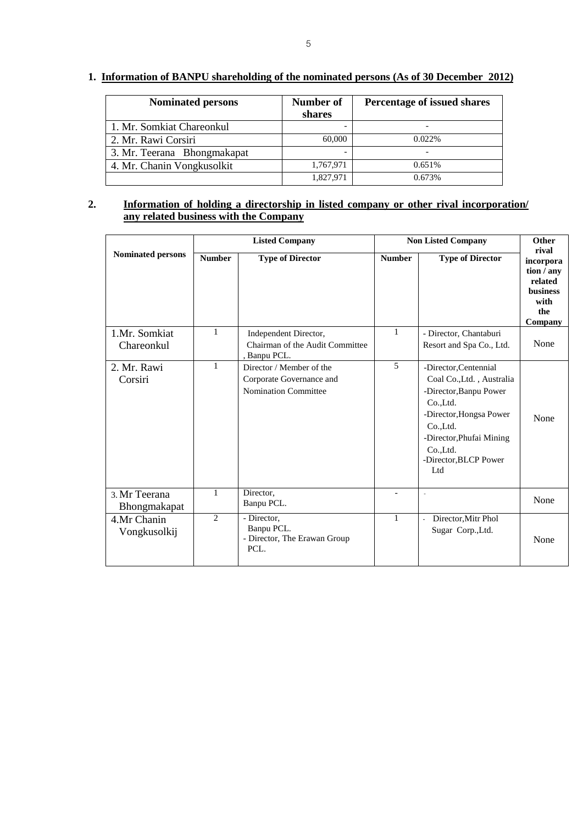## **1. Information of BANPU shareholding of the nominated persons (As of 30 December 2012)**

| <b>Nominated persons</b>    | Number of<br>shares | Percentage of issued shares |
|-----------------------------|---------------------|-----------------------------|
| 1. Mr. Somkiat Chareonkul   |                     |                             |
| 2. Mr. Rawi Corsiri         | 60,000              | 0.022%                      |
| 3. Mr. Teerana Bhongmakapat |                     |                             |
| 4. Mr. Chanin Vongkusolkit  | 1,767,971           | 0.651%                      |
|                             | 1,827,971           | 0.673%                      |

### **2. Information of holding a directorship in listed company or other rival incorporation/ any related business with the Company**

|                               | <b>Listed Company</b> |                                                                                     | <b>Non Listed Company</b> |                                                                                                                                                                                                         | Other                                                                                    |
|-------------------------------|-----------------------|-------------------------------------------------------------------------------------|---------------------------|---------------------------------------------------------------------------------------------------------------------------------------------------------------------------------------------------------|------------------------------------------------------------------------------------------|
| <b>Nominated persons</b>      | <b>Number</b>         | <b>Type of Director</b>                                                             | <b>Number</b>             | <b>Type of Director</b>                                                                                                                                                                                 | rival<br>incorpora<br>tion / any<br>related<br><b>business</b><br>with<br>the<br>Company |
| 1.Mr. Somkiat<br>Chareonkul   | 1                     | Independent Director,<br>Chairman of the Audit Committee<br>, Banpu PCL.            | $\mathbf{1}$              | - Director, Chantaburi<br>Resort and Spa Co., Ltd.                                                                                                                                                      | None                                                                                     |
| 2. Mr. Rawi<br>Corsiri        | $\mathbf{1}$          | Director / Member of the<br>Corporate Governance and<br><b>Nomination Committee</b> | $\overline{5}$            | -Director.Centennial<br>Coal Co., Ltd., Australia<br>-Director, Banpu Power<br>Co.,Ltd.<br>-Director, Hongsa Power<br>Co., Ltd.<br>-Director, Phufai Mining<br>Co.,Ltd.<br>-Director, BLCP Power<br>Ltd | None                                                                                     |
| 3. Mr Teerana<br>Bhongmakapat | 1                     | Director,<br>Banpu PCL.                                                             | $\overline{a}$            | $\omega$                                                                                                                                                                                                | None                                                                                     |
| 4.Mr Chanin<br>Vongkusolkij   | 2                     | - Director,<br>Banpu PCL.<br>- Director, The Erawan Group<br>PCL.                   | $\mathbf{1}$              | Director, Mitr Phol<br>Sugar Corp., Ltd.                                                                                                                                                                | None                                                                                     |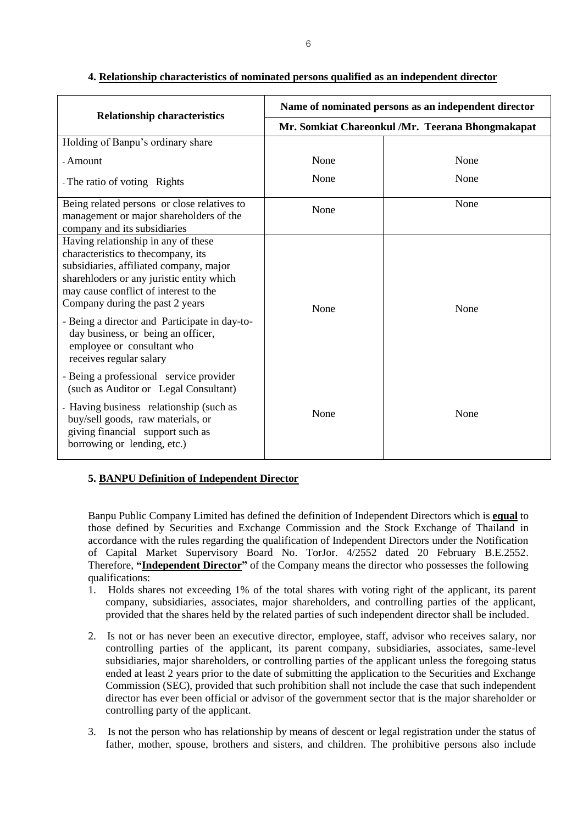| <b>Relationship characteristics</b>                                                                                                                                                                                                                                                                                                                                                            | Name of nominated persons as an independent director |      |  |  |
|------------------------------------------------------------------------------------------------------------------------------------------------------------------------------------------------------------------------------------------------------------------------------------------------------------------------------------------------------------------------------------------------|------------------------------------------------------|------|--|--|
|                                                                                                                                                                                                                                                                                                                                                                                                | Mr. Somkiat Chareonkul /Mr. Teerana Bhongmakapat     |      |  |  |
| Holding of Banpu's ordinary share                                                                                                                                                                                                                                                                                                                                                              |                                                      |      |  |  |
| - Amount                                                                                                                                                                                                                                                                                                                                                                                       | None                                                 | None |  |  |
| - The ratio of voting Rights                                                                                                                                                                                                                                                                                                                                                                   | None                                                 | None |  |  |
| Being related persons or close relatives to<br>management or major shareholders of the<br>company and its subsidiaries                                                                                                                                                                                                                                                                         | None                                                 | None |  |  |
| Having relationship in any of these<br>characteristics to the company, its<br>subsidiaries, affiliated company, major<br>sharehloders or any juristic entity which<br>may cause conflict of interest to the<br>Company during the past 2 years<br>- Being a director and Participate in day-to-<br>day business, or being an officer,<br>employee or consultant who<br>receives regular salary | None                                                 | None |  |  |
| - Being a professional service provider<br>(such as Auditor or Legal Consultant)<br>- Having business relationship (such as<br>buy/sell goods, raw materials, or<br>giving financial support such as<br>borrowing or lending, etc.)                                                                                                                                                            | None                                                 | None |  |  |

#### **4. Relationship characteristics of nominated persons qualified as an independent director**

### **5. BANPU Definition of Independent Director**

Banpu Public Company Limited has defined the definition of Independent Directors which is **equal** to those defined by Securities and Exchange Commission and the Stock Exchange of Thailand in accordance with the rules regarding the qualification of Independent Directors under the Notification of Capital Market Supervisory Board No. TorJor. 4/2552 dated 20 February B.E.2552. Therefore, **"Independent Director"** of the Company means the director who possesses the following qualifications:

- 1. Holds shares not exceeding 1% of the total shares with voting right of the applicant, its parent company, subsidiaries, associates, major shareholders, and controlling parties of the applicant, provided that the shares held by the related parties of such independent director shall be included.
- 2. Is not or has never been an executive director, employee, staff, advisor who receives salary, nor controlling parties of the applicant, its parent company, subsidiaries, associates, same-level subsidiaries, major shareholders, or controlling parties of the applicant unless the foregoing status ended at least 2 years prior to the date of submitting the application to the Securities and Exchange Commission (SEC), provided that such prohibition shall not include the case that such independent director has ever been official or advisor of the government sector that is the major shareholder or controlling party of the applicant.
- 3. Is not the person who has relationship by means of descent or legal registration under the status of father, mother, spouse, brothers and sisters, and children. The prohibitive persons also include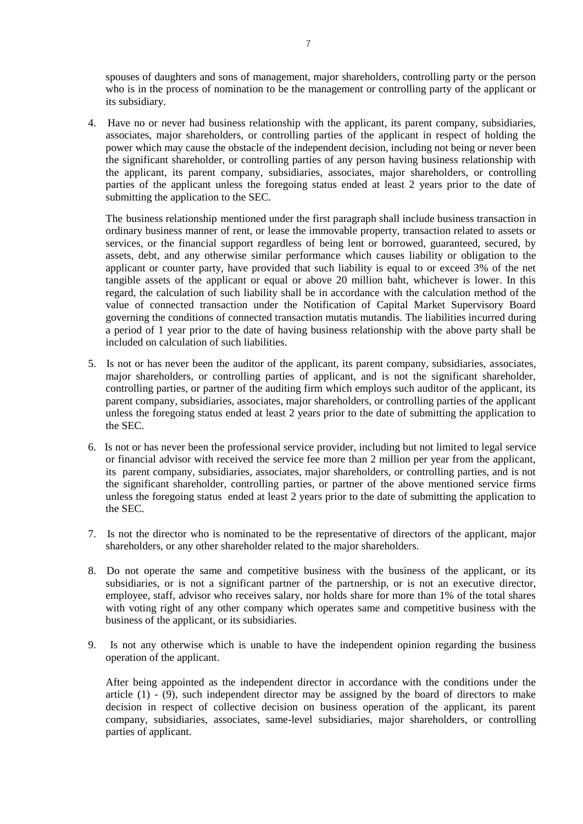spouses of daughters and sons of management, major shareholders, controlling party or the person who is in the process of nomination to be the management or controlling party of the applicant or its subsidiary.

4. Have no or never had business relationship with the applicant, its parent company, subsidiaries, associates, major shareholders, or controlling parties of the applicant in respect of holding the power which may cause the obstacle of the independent decision, including not being or never been the significant shareholder, or controlling parties of any person having business relationship with the applicant, its parent company, subsidiaries, associates, major shareholders, or controlling parties of the applicant unless the foregoing status ended at least 2 years prior to the date of submitting the application to the SEC.

The business relationship mentioned under the first paragraph shall include business transaction in ordinary business manner of rent, or lease the immovable property, transaction related to assets or services, or the financial support regardless of being lent or borrowed, guaranteed, secured, by assets, debt, and any otherwise similar performance which causes liability or obligation to the applicant or counter party, have provided that such liability is equal to or exceed 3% of the net tangible assets of the applicant or equal or above 20 million baht, whichever is lower. In this regard, the calculation of such liability shall be in accordance with the calculation method of the value of connected transaction under the Notification of Capital Market Supervisory Board governing the conditions of connected transaction mutatis mutandis. The liabilities incurred during a period of 1 year prior to the date of having business relationship with the above party shall be included on calculation of such liabilities.

- 5. Is not or has never been the auditor of the applicant, its parent company, subsidiaries, associates, major shareholders, or controlling parties of applicant, and is not the significant shareholder, controlling parties, or partner of the auditing firm which employs such auditor of the applicant, its parent company, subsidiaries, associates, major shareholders, or controlling parties of the applicant unless the foregoing status ended at least 2 years prior to the date of submitting the application to the SEC.
- 6. Is not or has never been the professional service provider, including but not limited to legal service or financial advisor with received the service fee more than 2 million per year from the applicant, its parent company, subsidiaries, associates, major shareholders, or controlling parties, and is not the significant shareholder, controlling parties, or partner of the above mentioned service firms unless the foregoing status ended at least 2 years prior to the date of submitting the application to the SEC.
- 7. Is not the director who is nominated to be the representative of directors of the applicant, major shareholders, or any other shareholder related to the major shareholders.
- 8. Do not operate the same and competitive business with the business of the applicant, or its subsidiaries, or is not a significant partner of the partnership, or is not an executive director, employee, staff, advisor who receives salary, nor holds share for more than 1% of the total shares with voting right of any other company which operates same and competitive business with the business of the applicant, or its subsidiaries.
- 9. Is not any otherwise which is unable to have the independent opinion regarding the business operation of the applicant.

After being appointed as the independent director in accordance with the conditions under the article  $(1)$  -  $(9)$ , such independent director may be assigned by the board of directors to make decision in respect of collective decision on business operation of the applicant, its parent company, subsidiaries, associates, same-level subsidiaries, major shareholders, or controlling parties of applicant.